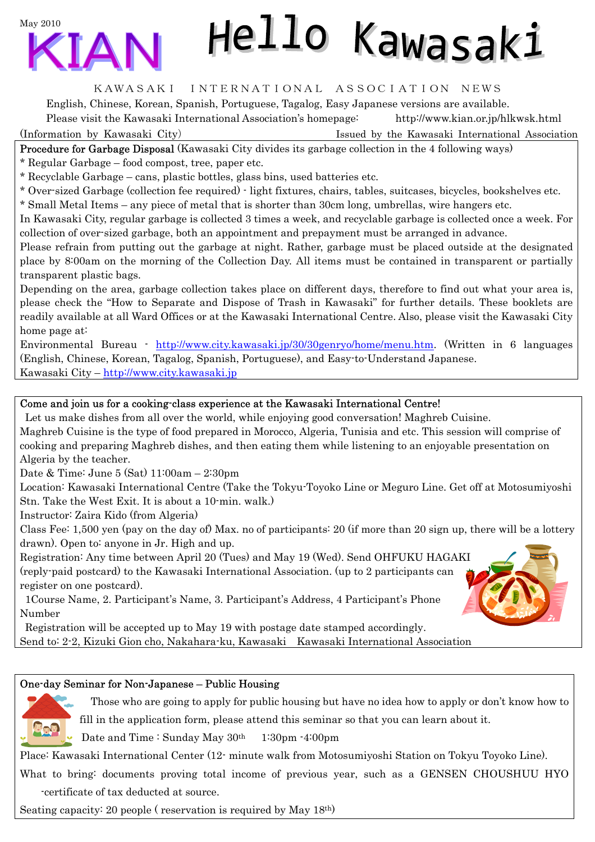May 2010



# Hello Kawasaki

### KAWASAKI INTERNATIONAL ASSOCIATION NEWS

English, Chinese, Korean, Spanish, Portuguese, Tagalog, Easy Japanese versions are available.

Please visit the Kawasaki International Association's homepage: <http://www.kian.or.jp/hlkwsk.html>

(Information by Kawasaki City) Issued by the Kawasaki International Association

Procedure for Garbage Disposal (Kawasaki City divides its garbage collection in the 4 following ways)

\* Regular Garbage – food compost, tree, paper etc.

\* Recyclable Garbage – cans, plastic bottles, glass bins, used batteries etc.

\* Over-sized Garbage (collection fee required) - light fixtures, chairs, tables, suitcases, bicycles, bookshelves etc.

\* Small Metal Items – any piece of metal that is shorter than 30cm long, umbrellas, wire hangers etc.

In Kawasaki City, regular garbage is collected 3 times a week, and recyclable garbage is collected once a week. For collection of over-sized garbage, both an appointment and prepayment must be arranged in advance.

Please refrain from putting out the garbage at night. Rather, garbage must be placed outside at the designated place by 8:00am on the morning of the Collection Day. All items must be contained in transparent or partially transparent plastic bags.

Depending on the area, garbage collection takes place on different days, therefore to find out what your area is, please check the "How to Separate and Dispose of Trash in Kawasaki" for further details. These booklets are readily available at all Ward Offices or at the Kawasaki International Centre. Also, please visit the Kawasaki City home page at:

Environmental Bureau - [http://www.city.kawasaki.jp/30/30genryo/home/menu.htm.](http://www.city.kawasaki.jp/30/30genryo/home/menu.htm) (Written in 6 languages (English, Chinese, Korean, Tagalog, Spanish, Portuguese), and Easy-to-Understand Japanese. Kawasaki City –<http://www.city.kawasaki.jp>

## Come and join us for a cooking-class experience at the Kawasaki International Centre!

Let us make dishes from all over the world, while enjoying good conversation! Maghreb Cuisine. Maghreb Cuisine is the type of food prepared in Morocco, Algeria, Tunisia and etc. This session will comprise of cooking and preparing Maghreb dishes, and then eating them while listening to an enjoyable presentation on Algeria by the teacher.

Date & Time: June 5 (Sat) 11:00am – 2:30pm

Location: Kawasaki International Centre (Take the Tokyu-Toyoko Line or Meguro Line. Get off at Motosumiyoshi Stn. Take the West Exit. It is about a 10-min. walk.)

Instructor: Zaira Kido (from Algeria)

Class Fee: 1,500 yen (pay on the day of) Max. no of participants: 20 (if more than 20 sign up, there will be a lottery drawn). Open to: anyone in Jr. High and up.

Registration: Any time between April 20 (Tues) and May 19 (Wed). Send OHFUKU HAGAKI (reply-paid postcard) to the Kawasaki International Association. (up to 2 participants can register on one postcard).

1Course Name, 2. Participant's Name, 3. Participant's Address, 4 Participant's Phone Number

Registration will be accepted up to May 19 with postage date stamped accordingly. Send to: 2-2, Kizuki Gion cho, Nakahara-ku, Kawasaki Kawasaki International Association

## One-day Seminar for Non-Japanese – Public Housing



Those who are going to apply for public housing but have no idea how to apply or don't know how to fill in the application form, please attend this seminar so that you can learn about it.

Date and Time : Sunday May  $30<sup>th</sup>$  1:30pm  $-4:00<sub>pm</sub>$ 

Place: Kawasaki International Center (12- minute walk from Motosumiyoshi Station on Tokyu Toyoko Line).

What to bring: documents proving total income of previous year, such as a GENSEN CHOUSHUU HYO -certificate of tax deducted at source.

Seating capacity: 20 people ( reservation is required by May 18th)